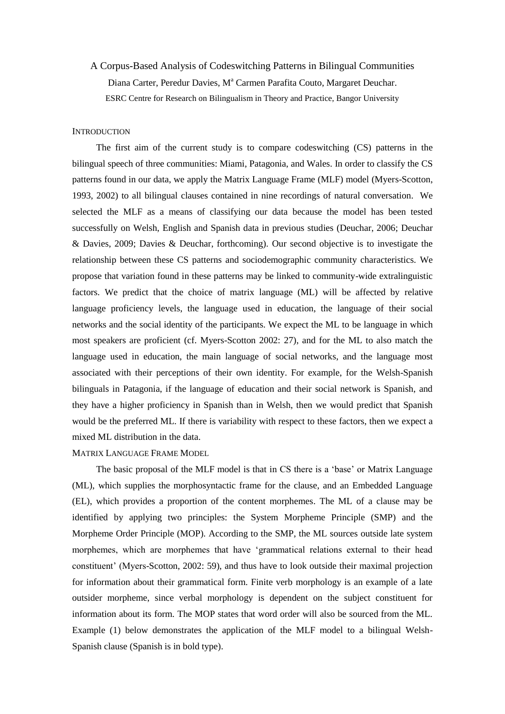# A Corpus-Based Analysis of Codeswitching Patterns in Bilingual Communities Diana Carter, Peredur Davies, M<sup>a</sup> Carmen Parafita Couto, Margaret Deuchar. ESRC Centre for Research on Bilingualism in Theory and Practice, Bangor University

#### **INTRODUCTION**

The first aim of the current study is to compare codeswitching (CS) patterns in the bilingual speech of three communities: Miami, Patagonia, and Wales. In order to classify the CS patterns found in our data, we apply the Matrix Language Frame (MLF) model (Myers-Scotton, 1993, 2002) to all bilingual clauses contained in nine recordings of natural conversation. We selected the MLF as a means of classifying our data because the model has been tested successfully on Welsh, English and Spanish data in previous studies (Deuchar, 2006; Deuchar & Davies, 2009; Davies & Deuchar, forthcoming). Our second objective is to investigate the relationship between these CS patterns and sociodemographic community characteristics. We propose that variation found in these patterns may be linked to community-wide extralinguistic factors. We predict that the choice of matrix language (ML) will be affected by relative language proficiency levels, the language used in education, the language of their social networks and the social identity of the participants. We expect the ML to be language in which most speakers are proficient (cf. Myers-Scotton 2002: 27), and for the ML to also match the language used in education, the main language of social networks, and the language most associated with their perceptions of their own identity. For example, for the Welsh-Spanish bilinguals in Patagonia, if the language of education and their social network is Spanish, and they have a higher proficiency in Spanish than in Welsh, then we would predict that Spanish would be the preferred ML. If there is variability with respect to these factors, then we expect a mixed ML distribution in the data.

## MATRIX LANGUAGE FRAME MODEL

The basic proposal of the MLF model is that in CS there is a "base" or Matrix Language (ML), which supplies the morphosyntactic frame for the clause, and an Embedded Language (EL), which provides a proportion of the content morphemes. The ML of a clause may be identified by applying two principles: the System Morpheme Principle (SMP) and the Morpheme Order Principle (MOP). According to the SMP, the ML sources outside late system morphemes, which are morphemes that have "grammatical relations external to their head constituent" (Myers-Scotton, 2002: 59), and thus have to look outside their maximal projection for information about their grammatical form. Finite verb morphology is an example of a late outsider morpheme, since verbal morphology is dependent on the subject constituent for information about its form. The MOP states that word order will also be sourced from the ML. Example (1) below demonstrates the application of the MLF model to a bilingual Welsh-Spanish clause (Spanish is in bold type).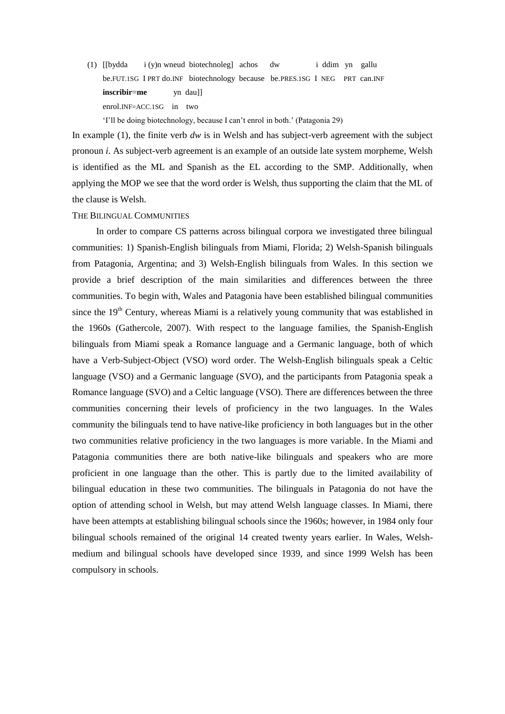(1) [[bydda i (y)n wneud biotechnoleg] achos dw i ddim yn gallu be.FUT.1SG I PRT do.INF biotechnology because be.PRES.1SG I NEG PRT can.INF **inscribir=me** yn dau]] enrol.INF=ACC.1SG in two

"I"ll be doing biotechnology, because I can"t enrol in both." (Patagonia 29)

In example (1), the finite verb *dw* is in Welsh and has subject-verb agreement with the subject pronoun *i*. As subject-verb agreement is an example of an outside late system morpheme, Welsh is identified as the ML and Spanish as the EL according to the SMP. Additionally, when applying the MOP we see that the word order is Welsh, thus supporting the claim that the ML of the clause is Welsh.

## THE BILINGUAL COMMUNITIES

In order to compare CS patterns across bilingual corpora we investigated three bilingual communities: 1) Spanish-English bilinguals from Miami, Florida; 2) Welsh-Spanish bilinguals from Patagonia, Argentina; and 3) Welsh-English bilinguals from Wales. In this section we provide a brief description of the main similarities and differences between the three communities. To begin with, Wales and Patagonia have been established bilingual communities since the  $19<sup>th</sup>$  Century, whereas Miami is a relatively young community that was established in the 1960s (Gathercole, 2007). With respect to the language families, the Spanish-English bilinguals from Miami speak a Romance language and a Germanic language, both of which have a Verb-Subject-Object (VSO) word order. The Welsh-English bilinguals speak a Celtic language (VSO) and a Germanic language (SVO), and the participants from Patagonia speak a Romance language (SVO) and a Celtic language (VSO). There are differences between the three communities concerning their levels of proficiency in the two languages. In the Wales community the bilinguals tend to have native-like proficiency in both languages but in the other two communities relative proficiency in the two languages is more variable. In the Miami and Patagonia communities there are both native-like bilinguals and speakers who are more proficient in one language than the other. This is partly due to the limited availability of bilingual education in these two communities. The bilinguals in Patagonia do not have the option of attending school in Welsh, but may attend Welsh language classes. In Miami, there have been attempts at establishing bilingual schools since the 1960s; however, in 1984 only four bilingual schools remained of the original 14 created twenty years earlier. In Wales, Welshmedium and bilingual schools have developed since 1939, and since 1999 Welsh has been compulsory in schools.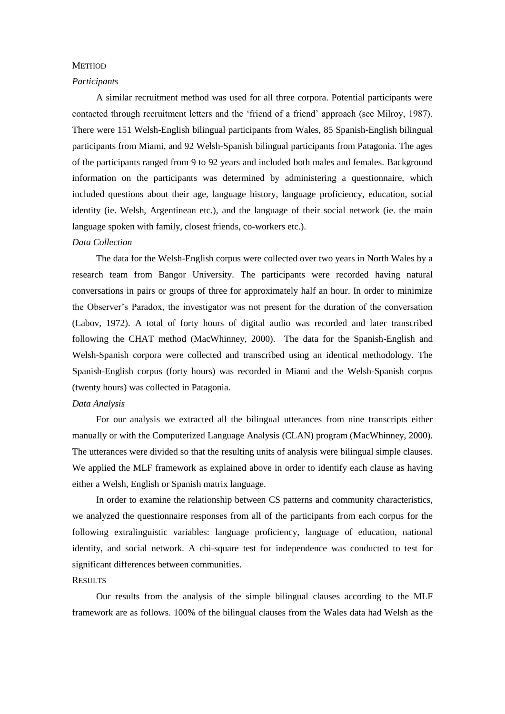## **METHOD**

#### *Participants*

A similar recruitment method was used for all three corpora. Potential participants were contacted through recruitment letters and the "friend of a friend" approach (see Milroy, 1987). There were 151 Welsh-English bilingual participants from Wales, 85 Spanish-English bilingual participants from Miami, and 92 Welsh-Spanish bilingual participants from Patagonia. The ages of the participants ranged from 9 to 92 years and included both males and females. Background information on the participants was determined by administering a questionnaire, which included questions about their age, language history, language proficiency, education, social identity (ie. Welsh, Argentinean etc.), and the language of their social network (ie. the main language spoken with family, closest friends, co-workers etc.).

#### *Data Collection*

The data for the Welsh-English corpus were collected over two years in North Wales by a research team from Bangor University. The participants were recorded having natural conversations in pairs or groups of three for approximately half an hour. In order to minimize the Observer"s Paradox, the investigator was not present for the duration of the conversation (Labov, 1972). A total of forty hours of digital audio was recorded and later transcribed following the CHAT method (MacWhinney, 2000). The data for the Spanish-English and Welsh-Spanish corpora were collected and transcribed using an identical methodology. The Spanish-English corpus (forty hours) was recorded in Miami and the Welsh-Spanish corpus (twenty hours) was collected in Patagonia.

## *Data Analysis*

For our analysis we extracted all the bilingual utterances from nine transcripts either manually or with the Computerized Language Analysis (CLAN) program (MacWhinney, 2000). The utterances were divided so that the resulting units of analysis were bilingual simple clauses. We applied the MLF framework as explained above in order to identify each clause as having either a Welsh, English or Spanish matrix language.

In order to examine the relationship between CS patterns and community characteristics, we analyzed the questionnaire responses from all of the participants from each corpus for the following extralinguistic variables: language proficiency, language of education, national identity, and social network. A chi-square test for independence was conducted to test for significant differences between communities.

#### **RESULTS**

Our results from the analysis of the simple bilingual clauses according to the MLF framework are as follows. 100% of the bilingual clauses from the Wales data had Welsh as the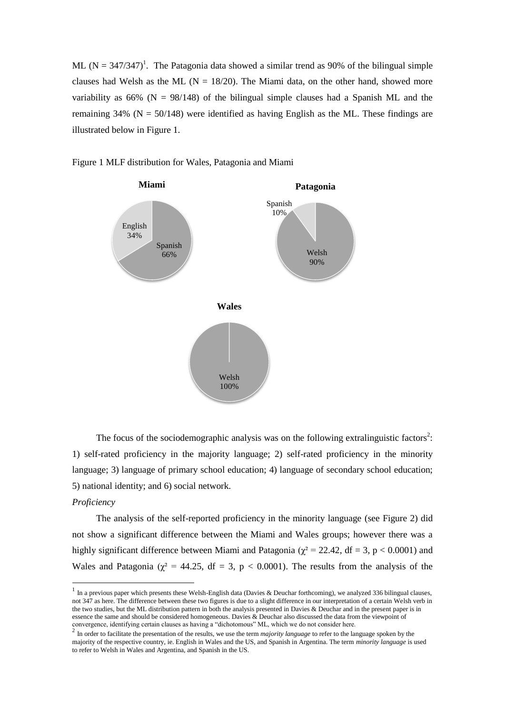ML ( $N = 347/347$ )<sup>1</sup>. The Patagonia data showed a similar trend as 90% of the bilingual simple clauses had Welsh as the ML ( $N = 18/20$ ). The Miami data, on the other hand, showed more variability as  $66\%$  (N = 98/148) of the bilingual simple clauses had a Spanish ML and the remaining  $34\%$  (N = 50/148) were identified as having English as the ML. These findings are illustrated below in Figure 1.



Figure 1 MLF distribution for Wales, Patagonia and Miami

The focus of the sociodemographic analysis was on the following extralinguistic factors<sup>2</sup>: 1) self-rated proficiency in the majority language; 2) self-rated proficiency in the minority language; 3) language of primary school education; 4) language of secondary school education; 5) national identity; and 6) social network.

#### *Proficiency*

1

The analysis of the self-reported proficiency in the minority language (see Figure 2) did not show a significant difference between the Miami and Wales groups; however there was a highly significant difference between Miami and Patagonia ( $\chi^2$  = 22.42, df = 3, p < 0.0001) and Wales and Patagonia ( $\chi^2$  = 44.25, df = 3, p < 0.0001). The results from the analysis of the

 $<sup>1</sup>$  In a previous paper which presents these Welsh-English data (Davies & Deuchar forthcoming), we analyzed 336 bilingual clauses,</sup> not 347 as here. The difference between these two figures is due to a slight difference in our interpretation of a certain Welsh verb in the two studies, but the ML distribution pattern in both the analysis presented in Davies & Deuchar and in the present paper is in essence the same and should be considered homogeneous. Davies & Deuchar also discussed the data from the viewpoint of

convergence, identifying certain clauses as having a "dichotomous" ML, which we do not consider here.<br><sup>2</sup> In order to facilitate the presentation of the results, we use the term *majority language* to refer to the languag majority of the respective country, ie. English in Wales and the US, and Spanish in Argentina. The term *minority language* is used to refer to Welsh in Wales and Argentina, and Spanish in the US.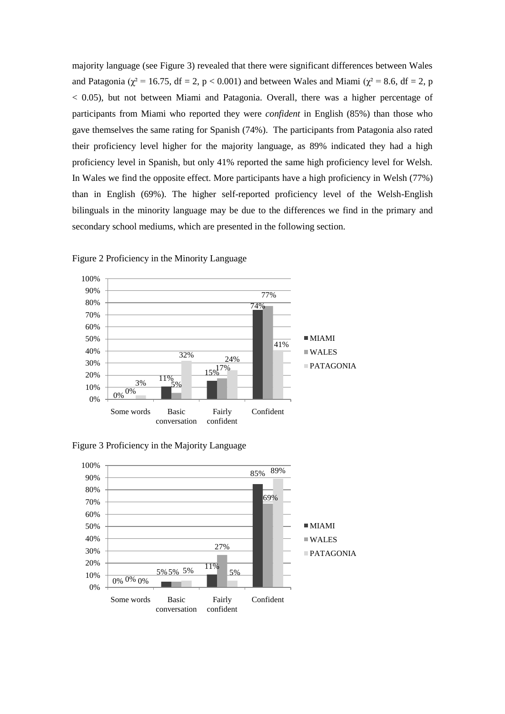majority language (see Figure 3) revealed that there were significant differences between Wales and Patagonia ( $\chi^2$  = 16.75, df = 2, p < 0.001) and between Wales and Miami ( $\chi^2$  = 8.6, df = 2, p < 0.05), but not between Miami and Patagonia. Overall, there was a higher percentage of participants from Miami who reported they were *confident* in English (85%) than those who gave themselves the same rating for Spanish (74%). The participants from Patagonia also rated their proficiency level higher for the majority language, as 89% indicated they had a high proficiency level in Spanish, but only 41% reported the same high proficiency level for Welsh. In Wales we find the opposite effect. More participants have a high proficiency in Welsh (77%) than in English (69%). The higher self-reported proficiency level of the Welsh-English bilinguals in the minority language may be due to the differences we find in the primary and secondary school mediums, which are presented in the following section.



Figure 2 Proficiency in the Minority Language

Figure 3 Proficiency in the Majority Language

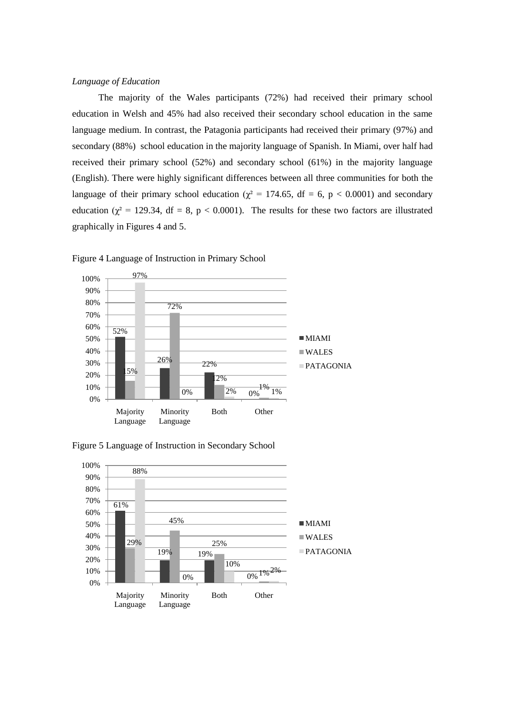# *Language of Education*

The majority of the Wales participants (72%) had received their primary school education in Welsh and 45% had also received their secondary school education in the same language medium. In contrast, the Patagonia participants had received their primary (97%) and secondary (88%) school education in the majority language of Spanish. In Miami, over half had received their primary school (52%) and secondary school (61%) in the majority language (English). There were highly significant differences between all three communities for both the language of their primary school education ( $\chi^2$  = 174.65, df = 6, p < 0.0001) and secondary education ( $\chi^2$  = 129.34, df = 8, p < 0.0001). The results for these two factors are illustrated graphically in Figures 4 and 5.



Figure 4 Language of Instruction in Primary School



Figure 5 Language of Instruction in Secondary School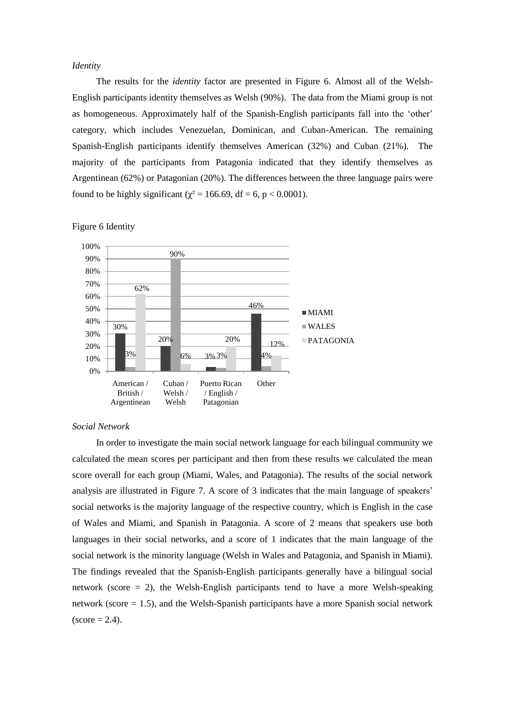# *Identity*

The results for the *identity* factor are presented in Figure 6. Almost all of the Welsh-English participants identity themselves as Welsh (90%). The data from the Miami group is not as homogeneous. Approximately half of the Spanish-English participants fall into the "other" category, which includes Venezuelan, Dominican, and Cuban-American. The remaining Spanish-English participants identify themselves American (32%) and Cuban (21%). The majority of the participants from Patagonia indicated that they identify themselves as Argentinean (62%) or Patagonian (20%). The differences between the three language pairs were found to be highly significant ( $\chi^2$  = 166.69, df = 6, p < 0.0001).



## Figure 6 Identity

#### *Social Network*

In order to investigate the main social network language for each bilingual community we calculated the mean scores per participant and then from these results we calculated the mean score overall for each group (Miami, Wales, and Patagonia). The results of the social network analysis are illustrated in Figure 7. A score of 3 indicates that the main language of speakers" social networks is the majority language of the respective country, which is English in the case of Wales and Miami, and Spanish in Patagonia. A score of 2 means that speakers use both languages in their social networks, and a score of 1 indicates that the main language of the social network is the minority language (Welsh in Wales and Patagonia, and Spanish in Miami). The findings revealed that the Spanish-English participants generally have a bilingual social network (score  $= 2$ ), the Welsh-English participants tend to have a more Welsh-speaking network (score  $= 1.5$ ), and the Welsh-Spanish participants have a more Spanish social network  $\text{(score} = 2.4)$ .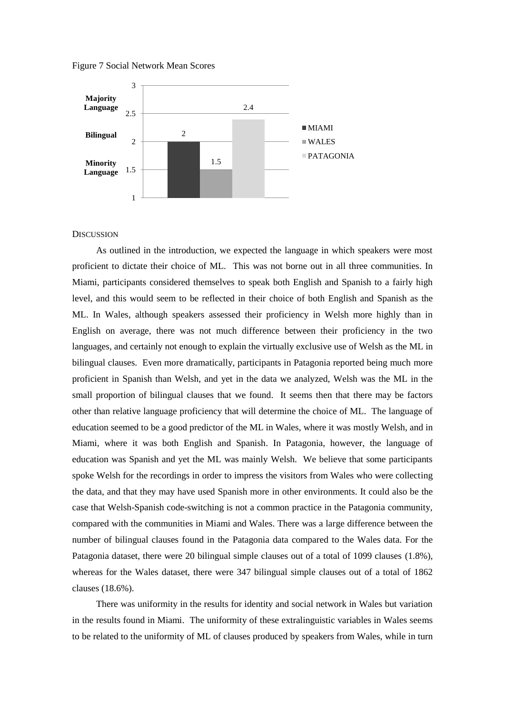Figure 7 Social Network Mean Scores



## **DISCUSSION**

As outlined in the introduction, we expected the language in which speakers were most proficient to dictate their choice of ML. This was not borne out in all three communities. In Miami, participants considered themselves to speak both English and Spanish to a fairly high level, and this would seem to be reflected in their choice of both English and Spanish as the ML. In Wales, although speakers assessed their proficiency in Welsh more highly than in English on average, there was not much difference between their proficiency in the two languages, and certainly not enough to explain the virtually exclusive use of Welsh as the ML in bilingual clauses. Even more dramatically, participants in Patagonia reported being much more proficient in Spanish than Welsh, and yet in the data we analyzed, Welsh was the ML in the small proportion of bilingual clauses that we found. It seems then that there may be factors other than relative language proficiency that will determine the choice of ML. The language of education seemed to be a good predictor of the ML in Wales, where it was mostly Welsh, and in Miami, where it was both English and Spanish. In Patagonia, however, the language of education was Spanish and yet the ML was mainly Welsh. We believe that some participants spoke Welsh for the recordings in order to impress the visitors from Wales who were collecting the data, and that they may have used Spanish more in other environments. It could also be the case that Welsh-Spanish code-switching is not a common practice in the Patagonia community, compared with the communities in Miami and Wales. There was a large difference between the number of bilingual clauses found in the Patagonia data compared to the Wales data. For the Patagonia dataset, there were 20 bilingual simple clauses out of a total of 1099 clauses (1.8%), whereas for the Wales dataset, there were 347 bilingual simple clauses out of a total of 1862 clauses (18.6%).

There was uniformity in the results for identity and social network in Wales but variation in the results found in Miami. The uniformity of these extralinguistic variables in Wales seems to be related to the uniformity of ML of clauses produced by speakers from Wales, while in turn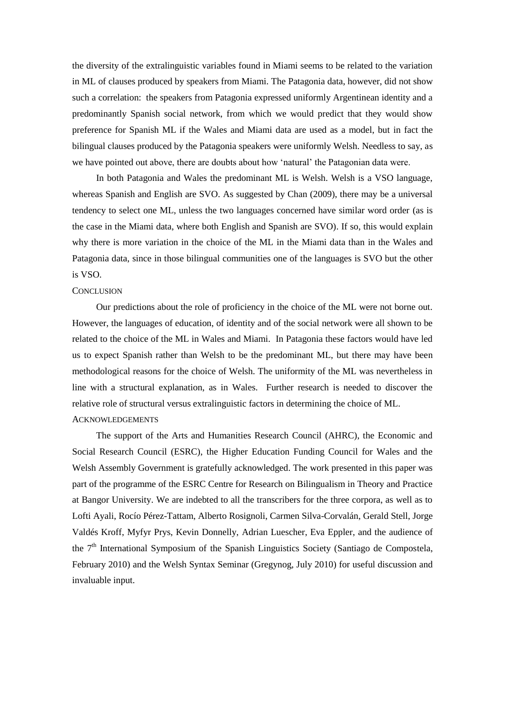the diversity of the extralinguistic variables found in Miami seems to be related to the variation in ML of clauses produced by speakers from Miami. The Patagonia data, however, did not show such a correlation: the speakers from Patagonia expressed uniformly Argentinean identity and a predominantly Spanish social network, from which we would predict that they would show preference for Spanish ML if the Wales and Miami data are used as a model, but in fact the bilingual clauses produced by the Patagonia speakers were uniformly Welsh. Needless to say, as we have pointed out above, there are doubts about how "natural" the Patagonian data were.

In both Patagonia and Wales the predominant ML is Welsh. Welsh is a VSO language, whereas Spanish and English are SVO. As suggested by Chan (2009), there may be a universal tendency to select one ML, unless the two languages concerned have similar word order (as is the case in the Miami data, where both English and Spanish are SVO). If so, this would explain why there is more variation in the choice of the ML in the Miami data than in the Wales and Patagonia data, since in those bilingual communities one of the languages is SVO but the other is VSO.

## **CONCLUSION**

Our predictions about the role of proficiency in the choice of the ML were not borne out. However, the languages of education, of identity and of the social network were all shown to be related to the choice of the ML in Wales and Miami. In Patagonia these factors would have led us to expect Spanish rather than Welsh to be the predominant ML, but there may have been methodological reasons for the choice of Welsh. The uniformity of the ML was nevertheless in line with a structural explanation, as in Wales. Further research is needed to discover the relative role of structural versus extralinguistic factors in determining the choice of ML. **ACKNOWLEDGEMENTS** 

The support of the Arts and Humanities Research Council (AHRC), the Economic and Social Research Council (ESRC), the Higher Education Funding Council for Wales and the Welsh Assembly Government is gratefully acknowledged. The work presented in this paper was part of the programme of the ESRC Centre for Research on Bilingualism in Theory and Practice at Bangor University. We are indebted to all the transcribers for the three corpora, as well as to Lofti Ayali, Rocío Pérez-Tattam, Alberto Rosignoli, Carmen Silva-Corvalán, Gerald Stell, Jorge Valdés Kroff, Myfyr Prys, Kevin Donnelly, Adrian Luescher, Eva Eppler, and the audience of the  $7<sup>th</sup>$  International Symposium of the Spanish Linguistics Society (Santiago de Compostela, February 2010) and the Welsh Syntax Seminar (Gregynog, July 2010) for useful discussion and invaluable input.